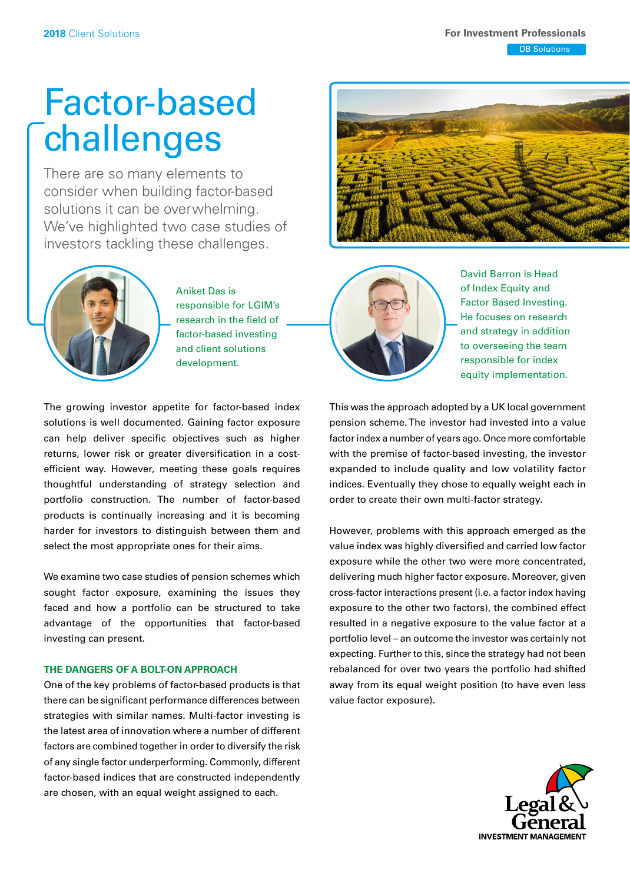**DB Solutions** 

# Factor-based challenges

There are so many elements to consider when building factor-based solutions it can be overwhelming. We've highlighted two case studies of investors tackling these challenges.



Aniket Das is responsible for LGIM's research in the field of factor-based investing and client solutions development.





David Barron is Head of Index Equity and Factor Based Investing. He focuses on research and strategy in addition to overseeing the team responsible for index equity implementation.

The growing investor appetite for factor-based index solutions is well documented. Gaining factor exposure can help deliver specific objectives such as higher returns, lower risk or greater diversification in a costefficient way. However, meeting these goals requires thoughtful understanding of strategy selection and portfolio construction. The number of factor-based products is continually increasing and it is becoming harder for investors to distinguish between them and select the most appropriate ones for their aims.

We examine two case studies of pension schemes which sought factor exposure, examining the issues they faced and how a portfolio can be structured to take advantage of the opportunities that factor-based investing can present.

# **THE DANGERS OF A BOLT-ON APPROACH**

One of the key problems of factor-based products is that there can be significant performance differences between strategies with similar names. Multi-factor investing is the latest area of innovation where a number of different factors are combined together in order to diversify the risk of any single factor underperforming. Commonly, different factor-based indices that are constructed independently are chosen, with an equal weight assigned to each.

This was the approach adopted by a UK local government pension scheme. The investor had invested into a value factor index a number of years ago. Once more comfortable with the premise of factor-based investing, the investor expanded to include quality and low volatility factor indices. Eventually they chose to equally weight each in order to create their own multi-factor strategy.

However, problems with this approach emerged as the value index was highly diversifed and carried low factor exposure while the other two were more concentrated, delivering much higher factor exposure. Moreover, given cross-factor interactions present (i.e. a factor index having exposure to the other two factors), the combined effect resulted in a negative exposure to the value factor at a portfolio level – an outcome the investor was certainly not expecting. Further to this, since the strategy had not been rebalanced for over two years the portfolio had shifted away from its equal weight position (to have even less value factor exposure).